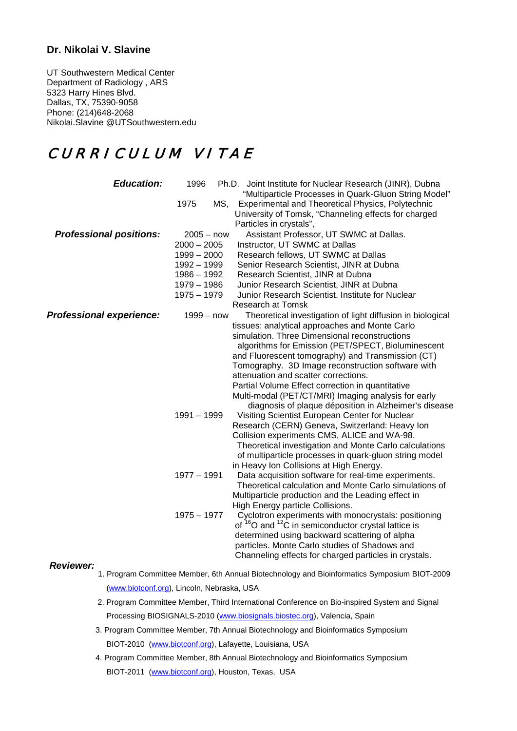# **Dr. Nikolai V. Slavine**

UT Southwestern Medical Center Department of Radiology , ARS 5323 Harry Hines Blvd. Dallas, TX, 75390-9058 Phone: (214)648-2068 Nikolai.Slavine @UTSouthwestern.edu

# CURRICULUM VITAE

| <b>Education:</b>               | 1996          | Ph.D. Joint Institute for Nuclear Research (JINR), Dubna<br>"Multiparticle Processes in Quark-Gluon String Model"                    |
|---------------------------------|---------------|--------------------------------------------------------------------------------------------------------------------------------------|
|                                 | 1975<br>MS,   | Experimental and Theoretical Physics, Polytechnic<br>University of Tomsk, "Channeling effects for charged<br>Particles in crystals", |
| <b>Professional positions:</b>  | $2005 - now$  | Assistant Professor, UT SWMC at Dallas.                                                                                              |
|                                 | $2000 - 2005$ | Instructor, UT SWMC at Dallas                                                                                                        |
|                                 | $1999 - 2000$ | Research fellows, UT SWMC at Dallas                                                                                                  |
|                                 | 1992 - 1999   | Senior Research Scientist, JINR at Dubna                                                                                             |
|                                 | 1986 - 1992   | Research Scientist, JINR at Dubna                                                                                                    |
|                                 | $1979 - 1986$ | Junior Research Scientist, JINR at Dubna                                                                                             |
|                                 | $1975 - 1979$ | Junior Research Scientist, Institute for Nuclear                                                                                     |
|                                 |               | <b>Research at Tomsk</b>                                                                                                             |
| <b>Professional experience:</b> | $1999 - now$  | Theoretical investigation of light diffusion in biological                                                                           |
|                                 |               | tissues: analytical approaches and Monte Carlo                                                                                       |
|                                 |               | simulation. Three Dimensional reconstructions                                                                                        |
|                                 |               | algorithms for Emission (PET/SPECT, Bioluminescent                                                                                   |
|                                 |               | and Fluorescent tomography) and Transmission (CT)                                                                                    |
|                                 |               | Tomography. 3D Image reconstruction software with                                                                                    |
|                                 |               | attenuation and scatter corrections.                                                                                                 |
|                                 |               | Partial Volume Effect correction in quantitative                                                                                     |
|                                 |               | Multi-modal (PET/CT/MRI) Imaging analysis for early                                                                                  |
|                                 | 1991 - 1999   | diagnosis of plaque déposition in Alzheimer's disease<br>Visiting Scientist European Center for Nuclear                              |
|                                 |               | Research (CERN) Geneva, Switzerland: Heavy Ion                                                                                       |
|                                 |               | Collision experiments CMS, ALICE and WA-98.                                                                                          |
|                                 |               | Theoretical investigation and Monte Carlo calculations                                                                               |
|                                 |               | of multiparticle processes in quark-gluon string model                                                                               |
|                                 |               | in Heavy Ion Collisions at High Energy.                                                                                              |
|                                 | $1977 - 1991$ | Data acquisition software for real-time experiments.                                                                                 |
|                                 |               | Theoretical calculation and Monte Carlo simulations of                                                                               |
|                                 |               | Multiparticle production and the Leading effect in                                                                                   |
|                                 |               | High Energy particle Collisions.                                                                                                     |
|                                 | $1975 - 1977$ | Cyclotron experiments with monocrystals: positioning                                                                                 |
|                                 |               | of $16$ O and $12$ C in semiconductor crystal lattice is                                                                             |
|                                 |               | determined using backward scattering of alpha                                                                                        |
|                                 |               | particles. Monte Carlo studies of Shadows and                                                                                        |
|                                 |               | Channeling effects for charged particles in crystals.                                                                                |

#### *Reviewer:*

- 1. Program Committee Member, 6th Annual Biotechnology and Bioinformatics Symposium BIOT-2009 [\(www.biotconf.org\)](http://www.biotconf.org/), Lincoln, Nebraska, USA
- 2. Program Committee Member, Third International Conference on Bio-inspired System and Signal Processing BIOSIGNALS-2010 [\(www.biosignals.biostec.org\)](http://www.biosignals.biostec.org/), Valencia, Spain
- 3. Program Committee Member, 7th Annual Biotechnology and Bioinformatics Symposium BIOT-2010 [\(www.biotconf.org\)](http://www.biotconf.org/), Lafayette, Louisiana, USA
- 4. Program Committee Member, 8th Annual Biotechnology and Bioinformatics Symposium BIOT-2011 [\(www.biotconf.org\)](http://www.biotconf.org/), Houston, Texas, USA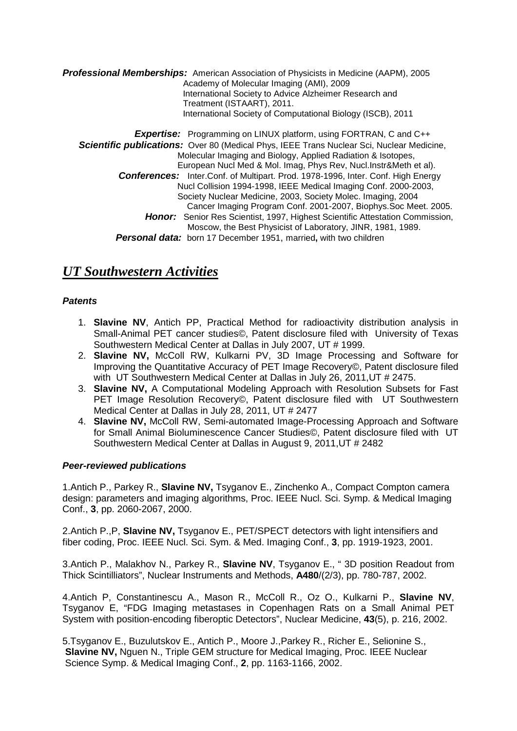*Professional Memberships:* American Association of Physicists in Medicine (AAPM), 2005 Academy of Molecular Imaging (AMI), 2009 International Society to Advice Alzheimer Research and Treatment (ISTAART), 2011. International Society of Computational Biology (ISCB), 2011 **Expertise:** Programming on LINUX platform, using FORTRAN, C and C++  *Scientific publications:* Over 80 (Medical Phys, IEEE Trans Nuclear Sci, Nuclear Medicine, Molecular Imaging and Biology, Applied Radiation & Isotopes, European Nucl Med & Mol. Imag, Phys Rev, Nucl.Instr&Meth et al).  *Conferences:* Inter.Conf. of Multipart. Prod. 1978-1996, Inter. Conf. High Energy Nucl Collision 1994-1998, IEEE Medical Imaging Conf. 2000-2003, Society Nuclear Medicine, 2003, Society Molec. Imaging, 2004 Cancer Imaging Program Conf. 2001-2007, Biophys.Soc Meet. 2005. **Honor:** Senior Res Scientist, 1997, Highest Scientific Attestation Commission, Moscow, the Best Physicist of Laboratory, JINR, 1981, 1989.

### *Personal data:* born 17 December 1951, married**,** with two children

# *UT Southwestern Activities*

## *Patents*

- 1. **Slavine NV**, Antich PP, Practical Method for radioactivity distribution analysis in Small-Animal PET cancer studies©, Patent disclosure filed with University of Texas Southwestern Medical Center at Dallas in July 2007, UT # 1999.
- 2. **Slavine NV,** McColl RW, Kulkarni PV, 3D Image Processing and Software for Improving the Quantitative Accuracy of PET Image Recovery©, Patent disclosure filed with UT Southwestern Medical Center at Dallas in July 26, 2011,UT # 2475.
- 3. **Slavine NV,** A Computational Modeling Approach with Resolution Subsets for Fast PET Image Resolution Recovery©, Patent disclosure filed with UT Southwestern Medical Center at Dallas in July 28, 2011, UT # 2477
- 4. **Slavine NV,** McColl RW, Semi-automated Image-Processing Approach and Software for Small Animal Bioluminescence Cancer Studies©, Patent disclosure filed with UT Southwestern Medical Center at Dallas in August 9, 2011,UT # 2482

## *Peer-reviewed publications*

1.Antich P., Parkey R., **Slavine NV,** Tsyganov E., Zinchenko A., Compact Compton camera design: parameters and imaging algorithms, Proc. IEEE Nucl. Sci. Symp. & Medical Imaging Conf., **3**, pp. 2060-2067, 2000.

2.Antich P.,P, **Slavine NV,** Tsyganov E., PET/SPECT detectors with light intensifiers and fiber coding, Proc. IEEE Nucl. Sci. Sym. & Med. Imaging Conf., **3**, pp. 1919-1923, 2001.

3.Antich P., Malakhov N., Parkey R., **Slavine NV**, Tsyganov E., " 3D position Readout from Thick Scintilliators", Nuclear Instruments and Methods, **A480**/(2/3), pp. 780-787, 2002.

4.Antich P, Constantinescu A., Mason R., McColl R., Oz O., Kulkarni P., **Slavine NV**, Tsyganov E, "FDG Imaging metastases in Copenhagen Rats on a Small Animal PET System with position-encoding fiberoptic Detectors", Nuclear Medicine, **43**(5), p. 216, 2002.

5.Tsyganov E., Buzulutskov E., Antich P., Moore J.,Parkey R., Richer E., Selionine S., **Slavine NV,** Nguen N., Triple GEM structure for Medical Imaging, Proc. IEEE Nuclear Science Symp. & Medical Imaging Conf., **2**, pp. 1163-1166, 2002.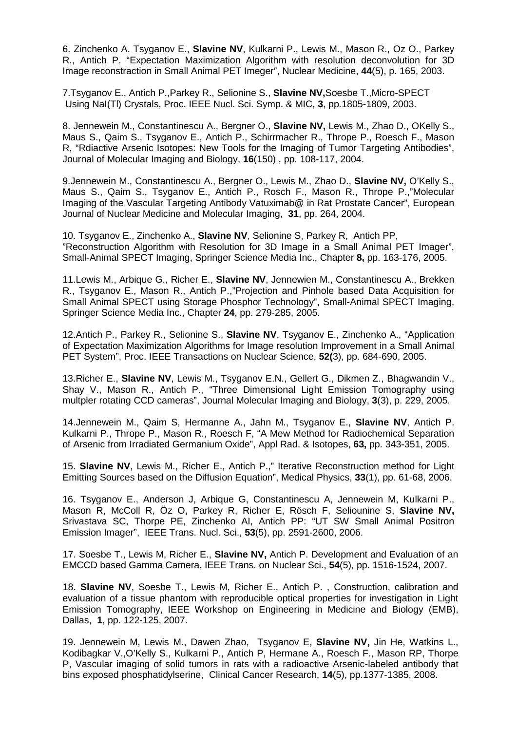6. Zinchenko A. Tsyganov E., **Slavine NV**, Kulkarni P., Lewis M., Mason R., Oz O., Parkey R., Antich P. "Expectation Maximization Algorithm with resolution deconvolution for 3D Image reconstraction in Small Animal PET Imeger", Nuclear Medicine, **44**(5), p. 165, 2003.

7.Tsyganov E., Antich P.,Parkey R., Selionine S., **Slavine NV,**Soesbe T.,Micro-SPECT Using NaI(Tl) Crystals, Proc. IEEE Nucl. Sci. Symp. & MIC, **3**, pp.1805-1809, 2003.

8. Jennewein M., Constantinescu A., Bergner O., **Slavine NV,** Lewis M., Zhao D., OKelly S., Maus S., Qaim S., Tsyganov E., Antich P., Schirrmacher R., Thrope P., Roesch F., Mason R, "Rdiactive Arsenic Isotopes: New Tools for the Imaging of Tumor Targeting Antibodies", Journal of Molecular Imaging and Biology, **16**(150) , pp. 108-117, 2004.

9.Jennewein M., Constantinescu A., Bergner O., Lewis M., Zhao D., **Slavine NV,** O'Kelly S., Maus S., Qaim S., Tsyganov E., Antich P., Rosch F., Mason R., Thrope P.,"Molecular Imaging of the Vascular Targeting Antibody Vatuximab@ in Rat Prostate Cancer", European Journal of Nuclear Medicine and Molecular Imaging, **31**, pp. 264, 2004.

10. Tsyganov E., Zinchenko A., **Slavine NV**, Selionine S, Parkey R, Antich PP, "Reconstruction Algorithm with Resolution for 3D Image in a Small Animal PET Imager", Small-Animal SPECT Imaging, Springer Science Media Inc., Chapter **8,** pp. 163-176, 2005.

11.Lewis M., Arbique G., Richer E., **Slavine NV**, Jennewien M., Constantinescu A., Brekken R., Tsyganov E., Mason R., Antich P.,"Projection and Pinhole based Data Acquisition for Small Animal SPECT using Storage Phosphor Technology", Small-Animal SPECT Imaging, Springer Science Media Inc., Chapter **24**, pp. 279-285, 2005.

12.Antich P., Parkey R., Selionine S., **Slavine NV**, Tsyganov E., Zinchenko A., "Application of Expectation Maximization Algorithms for Image resolution Improvement in a Small Animal PET System", Proc. IEEE Transactions on Nuclear Science, **52(**3), pp. 684-690, 2005.

13.Richer E., **Slavine NV**, Lewis M., Tsyganov E.N., Gellert G., Dikmen Z., Bhagwandin V., Shay V., Mason R., Antich P., "Three Dimensional Light Emission Tomography using multpler rotating CCD cameras", Journal Molecular Imaging and Biology, **3**(3), p. 229, 2005.

14.Jennewein M., Qaim S, Hermanne A., Jahn M., Tsyganov E., **Slavine NV**, Antich P. Kulkarni P., Thrope P., Mason R., Roesch F, "A Mew Method for Radiochemical Separation of Arsenic from Irradiated Germanium Oxide", Appl Rad. & Isotopes, **63,** pp. 343-351, 2005.

15. **Slavine NV**, Lewis M., Richer E., Antich P.," Iterative Reconstruction method for Light Emitting Sources based on the Diffusion Equation", Medical Physics, **33**(1), pp. 61-68, 2006.

16. Tsyganov E., Anderson J, Arbique G, Constantinescu A, Jennewein M, Kulkarni P., Mason R, McColl R, Öz O, Parkey R, Richer E, Rösch F, Seliounine S, **Slavine NV,** Srivastava SC, Thorpe PE, Zinchenko AI, Antich PP: "UT SW Small Animal Positron Emission Imager", IEEE Trans. Nucl. Sci., **53**(5), pp. 2591-2600, 2006.

 17. Soesbe T., Lewis M, Richer E., **Slavine NV,** Antich P. Development and Evaluation of an EMCCD based Gamma Camera, IEEE Trans. on Nuclear Sci., **54**(5), pp. 1516-1524, 2007.

 18. **Slavine NV**, Soesbe T., Lewis M, Richer E., Antich P. , Construction, calibration and evaluation of a tissue phantom with reproducible optical properties for investigation in Light Emission Tomography, IEEE Workshop on Engineering in Medicine and Biology (EMB), Dallas, **1**, pp. 122-125, 2007.

19. Jennewein M, Lewis M., Dawen Zhao, Tsyganov E, **Slavine NV,** Jin He, Watkins L., Kodibagkar V.,O'Kelly S., Kulkarni P., Antich P, Hermane A., Roesch F., Mason RP, Thorpe P, Vascular imaging of solid tumors in rats with a radioactive Arsenic-labeled antibody that bins exposed phosphatidylserine, Clinical Cancer Research, **14**(5), pp.1377-1385, 2008.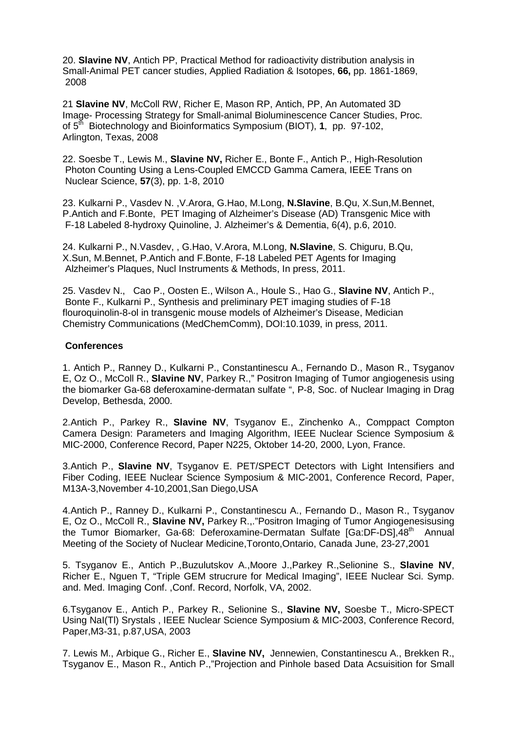20. **Slavine NV**, Antich PP, Practical Method for radioactivity distribution analysis in Small-Animal PET cancer studies, Applied Radiation & Isotopes, **66,** pp. 1861-1869, 2008

21 **Slavine NV**, McColl RW, Richer E, Mason RP, Antich, PP, An Automated 3D Image- Processing Strategy for Small-animal Bioluminescence Cancer Studies, Proc. of 5th Biotechnology and Bioinformatics Symposium (BIOT), **1**, pp. 97-102, Arlington, Texas, 2008

22. Soesbe T., Lewis M., **Slavine NV,** Richer E., Bonte F., Antich P., High-Resolution Photon Counting Using a Lens-Coupled EMCCD Gamma Camera, IEEE Trans on Nuclear Science, **57**(3), pp. 1-8, 2010

23. Kulkarni P., Vasdev N. ,V.Arora, G.Hao, M.Long, **N.Slavine**, B.Qu, X.Sun,M.Bennet, P.Antich and F.Bonte, PET Imaging of Alzheimer's Disease (AD) Transgenic Mice with F-18 Labeled 8-hydroxy Quinoline, J. Alzheimer's & Dementia, 6(4), p.6, 2010.

24. Kulkarni P., N.Vasdev, , G.Hao, V.Arora, M.Long, **N.Slavine**, S. Chiguru, B.Qu, X.Sun, M.Bennet, P.Antich and F.Bonte, F-18 Labeled PET Agents for Imaging Alzheimer's Plaques, Nucl Instruments & Methods, In press, 2011.

25. Vasdev N., Cao P., Oosten E., Wilson A., Houle S., Hao G., **Slavine NV**, Antich P., Bonte F., Kulkarni P., Synthesis and preliminary PET imaging studies of F-18 flouroquinolin-8-ol in transgenic mouse models of Alzheimer's Disease, Medician Chemistry Communications (MedChemComm), DOI:10.1039, in press, 2011.

### **Conferences**

1. Antich P., Ranney D., Kulkarni P., Constantinescu A., Fernando D., Mason R., Tsyganov E, Oz O., McColl R., **Slavine NV**, Parkey R.," Positron Imaging of Tumor angiogenesis using the biomarker Ga-68 deferoxamine-dermatan sulfate ", P-8, Soc. of Nuclear Imaging in Drag Develop, Bethesda, 2000.

2.Antich P., Parkey R., **Slavine NV**, Tsyganov E., Zinchenko A., Comppact Compton Camera Design: Parameters and Imaging Algorithm, IEEE Nuclear Science Symposium & MIC-2000, Conference Record, Paper N225, Oktober 14-20, 2000, Lyon, France.

3.Antich P., **Slavine NV**, Tsyganov E. PET/SPECT Detectors with Light Intensifiers and Fiber Coding, IEEE Nuclear Science Symposium & MIC-2001, Conference Record, Paper, M13A-3,November 4-10,2001,San Diego,USA

4.Antich P., Ranney D., Kulkarni P., Constantinescu A., Fernando D., Mason R., Tsyganov E, Oz O., McColl R., **Slavine NV,** Parkey R.,."Positron Imaging of Tumor Angiogenesisusing the Tumor Biomarker, Ga-68: Deferoxamine-Dermatan Sulfate [Ga:DF-DS], 48<sup>th</sup> Annual Meeting of the Society of Nuclear Medicine,Toronto,Ontario, Canada June, 23-27,2001

5. Tsyganov E., Antich P.,Buzulutskov A.,Moore J.,Parkey R.,Selionine S., **Slavine NV**, Richer E., Nguen T, "Triple GEM strucrure for Medical Imaging", IEEE Nuclear Sci. Symp. and. Med. Imaging Conf. ,Conf. Record, Norfolk, VA, 2002.

6.Tsyganov E., Antich P., Parkey R., Selionine S., **Slavine NV,** Soesbe T., Micro-SPECT Using NaI(Tl) Srystals , IEEE Nuclear Science Symposium & MIC-2003, Conference Record, Paper,M3-31, p.87,USA, 2003

7. Lewis M., Arbique G., Richer E., **Slavine NV,** Jennewien, Constantinescu A., Brekken R., Tsyganov E., Mason R., Antich P.,"Projection and Pinhole based Data Acsuisition for Small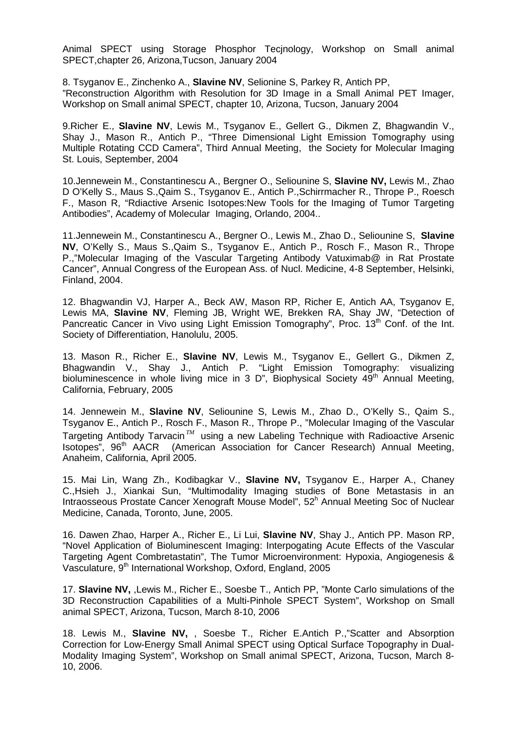Animal SPECT using Storage Phosphor Tecjnology, Workshop on Small animal SPECT,chapter 26, Arizona,Tucson, January 2004

8. Tsyganov E., Zinchenko A., **Slavine NV**, Selionine S, Parkey R, Antich PP, "Reconstruction Algorithm with Resolution for 3D Image in a Small Animal PET Imager, Workshop on Small animal SPECT, chapter 10, Arizona, Tucson, January 2004

9.Richer E., **Slavine NV**, Lewis M., Tsyganov E., Gellert G., Dikmen Z, Bhagwandin V., Shay J., Mason R., Antich P., "Three Dimensional Light Emission Tomography using Multiple Rotating CCD Camera", Third Annual Meeting, the Society for Molecular Imaging St. Louis, September, 2004

10.Jennewein M., Constantinescu A., Bergner O., Seliounine S, **Slavine NV,** Lewis M., Zhao D O'Kelly S., Maus S.,Qaim S., Tsyganov E., Antich P.,Schirrmacher R., Thrope P., Roesch F., Mason R, "Rdiactive Arsenic Isotopes:New Tools for the Imaging of Tumor Targeting Antibodies", Academy of Molecular Imaging, Orlando, 2004..

11.Jennewein M., Constantinescu A., Bergner O., Lewis M., Zhao D., Seliounine S, **Slavine NV**, O'Kelly S., Maus S.,Qaim S., Tsyganov E., Antich P., Rosch F., Mason R., Thrope P.,"Molecular Imaging of the Vascular Targeting Antibody Vatuximab@ in Rat Prostate Cancer", Annual Congress of the European Ass. of Nucl. Medicine, 4-8 September, Helsinki, Finland, 2004.

12. Bhagwandin VJ, Harper A., Beck AW, Mason RP, Richer E, Antich AA, Tsyganov E, Lewis MA, **Slavine NV**, Fleming JB, Wright WE, Brekken RA, Shay JW, "Detection of Pancreatic Cancer in Vivo using Light Emission Tomography", Proc. 13<sup>th</sup> Conf. of the Int. Society of Differentiation, Hanolulu, 2005.

13. Mason R., Richer E., **Slavine NV**, Lewis M., Tsyganov E., Gellert G., Dikmen Z, Bhagwandin V., Shay J., Antich P. "Light Emission Tomography: visualizing bioluminescence in whole living mice in 3 D", Biophysical Society  $49<sup>th</sup>$  Annual Meeting, California, February, 2005

14. Jennewein M., **Slavine NV**, Seliounine S, Lewis M., Zhao D., O'Kelly S., Qaim S., Tsyganov E., Antich P., Rosch F., Mason R., Thrope P., "Molecular Imaging of the Vascular Targeting Antibody Tarvacin<sup>TM</sup> using a new Labeling Technique with Radioactive Arsenic<br>Isotopes", 96<sup>th</sup> AACR (American Association for Cancer Research) Annual Meeting, (American Association for Cancer Research) Annual Meeting, Anaheim, California, April 2005.

15. Mai Lin, Wang Zh., Kodibagkar V., **Slavine NV,** Tsyganov E., Harper A., Chaney C.,Hsieh J., Xiankai Sun, "Multimodality Imaging studies of Bone Metastasis in an Intraosseous Prostate Cancer Xenograft Mouse Model", 52<sup>h</sup> Annual Meeting Soc of Nuclear Medicine, Canada, Toronto, June, 2005.

16. Dawen Zhao, Harper A., Richer E., Li Lui, **Slavine NV**, Shay J., Antich PP. Mason RP, "Novel Application of Bioluminescent Imaging: Interpogating Acute Effects of the Vascular Targeting Agent Combretastatin", The Tumor Microenvironment: Hypoxia, Angiogenesis & Vasculature, 9<sup>th</sup> International Workshop, Oxford, England, 2005

17. **Slavine NV,** ,Lewis M., Richer E., Soesbe T., Antich PP, "Monte Carlo simulations of the 3D Reconstruction Capabilities of a Multi-Pinhole SPECT System", Workshop on Small animal SPECT, Arizona, Tucson, March 8-10, 2006

18. Lewis M., **Slavine NV,** , Soesbe T., Richer E.Antich P.,"Scatter and Absorption Correction for Low-Energy Small Animal SPECT using Optical Surface Topography in Dual-Modality Imaging System", Workshop on Small animal SPECT, Arizona, Tucson, March 8- 10, 2006.